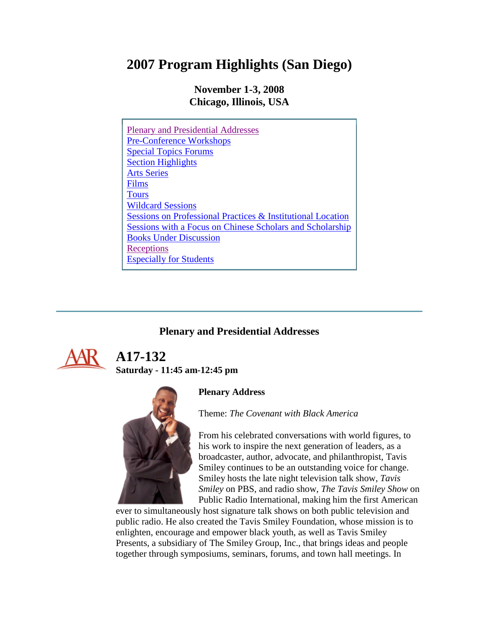# **2007 Program Highlights (San Diego)**

**November 1-3, 2008 Chicago, Illinois, USA**

| <b>Plenary and Presidential Addresses</b>                              |
|------------------------------------------------------------------------|
| <b>Pre-Conference Workshops</b>                                        |
| <b>Special Topics Forums</b>                                           |
| <b>Section Highlights</b>                                              |
| <b>Arts Series</b>                                                     |
| Films                                                                  |
| <b>Tours</b>                                                           |
| <b>Wildcard Sessions</b>                                               |
| <b>Sessions on Professional Practices &amp; Institutional Location</b> |
| Sessions with a Focus on Chinese Scholars and Scholarship              |
| <b>Books Under Discussion</b>                                          |
| Receptions                                                             |
| <b>Especially for Students</b>                                         |

### **Plenary and Presidential Addresses**



 **A17-132 Saturday - 11:45 am-12:45 pm**

### **Plenary Address**

Theme: *The Covenant with Black America*



From his celebrated conversations with world figures, to his work to inspire the next generation of leaders, as a broadcaster, author, advocate, and philanthropist, Tavis Smiley continues to be an outstanding voice for change. Smiley hosts the late night television talk show, *Tavis Smiley* on PBS, and radio show, *The Tavis Smiley Show* on Public Radio International, making him the first American

ever to simultaneously host signature talk shows on both public television and public radio. He also created the Tavis Smiley Foundation, whose mission is to enlighten, encourage and empower black youth, as well as Tavis Smiley Presents, a subsidiary of The Smiley Group, Inc., that brings ideas and people together through symposiums, seminars, forums, and town hall meetings. In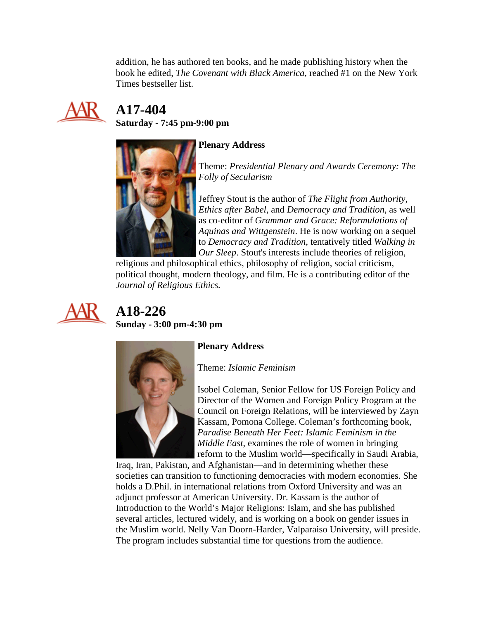addition, he has authored ten books, and he made publishing history when the book he edited, *The Covenant with Black America*, reached #1 on the New York Times bestseller list.



# **A17-404**

**Saturday - 7:45 pm-9:00 pm**



### **Plenary Address**

Theme: *Presidential Plenary and Awards Ceremony: The Folly of Secularism*

Jeffrey Stout is the author of *The Flight from Authority, Ethics after Babel*, and *Democracy and Tradition*, as well as co-editor of *Grammar and Grace: Reformulations of Aquinas and Wittgenstein*. He is now working on a sequel to *Democracy and Tradition*, tentatively titled *Walking in Our Sleep*. Stout's interests include theories of religion,

religious and philosophical ethics, philosophy of religion, social criticism, political thought, modern theology, and film. He is a contributing editor of the *Journal of Religious Ethics.*



## **A18-226 Sunday - 3:00 pm-4:30 pm**



### **Plenary Address**

Theme: *Islamic Feminism*

Isobel Coleman, Senior Fellow for US Foreign Policy and Director of the Women and Foreign Policy Program at the Council on Foreign Relations, will be interviewed by Zayn Kassam, Pomona College. Coleman's forthcoming book, *Paradise Beneath Her Feet: Islamic Feminism in the Middle East*, examines the role of women in bringing reform to the Muslim world—specifically in Saudi Arabia,

Iraq, Iran, Pakistan, and Afghanistan—and in determining whether these societies can transition to functioning democracies with modern economies. She holds a D.Phil. in international relations from Oxford University and was an adjunct professor at American University. Dr. Kassam is the author of Introduction to the World's Major Religions: Islam, and she has published several articles, lectured widely, and is working on a book on gender issues in the Muslim world. Nelly Van Doorn-Harder, Valparaiso University, will preside. The program includes substantial time for questions from the audience.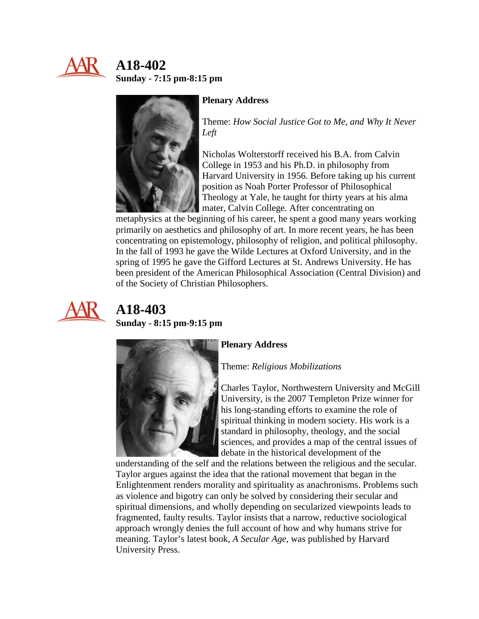

## **A18-402 Sunday - 7:15 pm-8:15 pm**



#### **Plenary Address**

Theme: *How Social Justice Got to Me, and Why It Never Left*

Nicholas Wolterstorff received his B.A. from Calvin College in 1953 and his Ph.D. in philosophy from Harvard University in 1956. Before taking up his current position as Noah Porter Professor of Philosophical Theology at Yale, he taught for thirty years at his alma mater, Calvin College. After concentrating on

metaphysics at the beginning of his career, he spent a good many years working primarily on aesthetics and philosophy of art. In more recent years, he has been concentrating on epistemology, philosophy of religion, and political philosophy. In the fall of 1993 he gave the Wilde Lectures at Oxford University, and in the spring of 1995 he gave the Gifford Lectures at St. Andrews University. He has been president of the American Philosophical Association (Central Division) and of the Society of Christian Philosophers.



# **A18-403**

**Sunday - 8:15 pm-9:15 pm**



#### **Plenary Address**

Theme: *Religious Mobilizations*

Charles Taylor, Northwestern University and McGill University, is the 2007 Templeton Prize winner for his long-standing efforts to examine the role of spiritual thinking in modern society. His work is a standard in philosophy, theology, and the social sciences, and provides a map of the central issues of debate in the historical development of the

understanding of the self and the relations between the religious and the secular. Taylor argues against the idea that the rational movement that began in the Enlightenment renders morality and spirituality as anachronisms. Problems such as violence and bigotry can only be solved by considering their secular and spiritual dimensions, and wholly depending on secularized viewpoints leads to fragmented, faulty results. Taylor insists that a narrow, reductive sociological approach wrongly denies the full account of how and why humans strive for meaning. Taylor's latest book, *A Secular Age,* was published by Harvard University Press.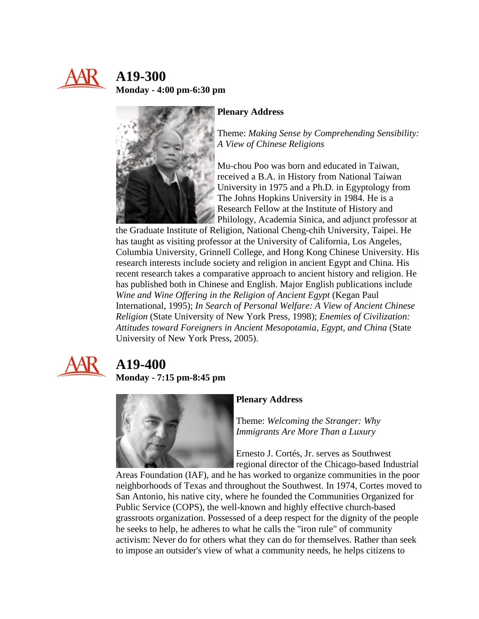

## **A19-300 Monday - 4:00 pm-6:30 pm**



#### **Plenary Address**

Theme: *Making Sense by Comprehending Sensibility: A View of Chinese Religions*

Mu-chou Poo was born and educated in Taiwan, received a B.A. in History from National Taiwan University in 1975 and a Ph.D. in Egyptology from The Johns Hopkins University in 1984. He is a Research Fellow at the Institute of History and Philology, Academia Sinica, and adjunct professor at

the Graduate Institute of Religion, National Cheng-chih University, Taipei. He has taught as visiting professor at the University of California, Los Angeles, Columbia University, Grinnell College, and Hong Kong Chinese University. His research interests include society and religion in ancient Egypt and China. His recent research takes a comparative approach to ancient history and religion. He has published both in Chinese and English. Major English publications include *Wine and Wine Offering in the Religion of Ancient Egypt* (Kegan Paul International, 1995); *In Search of Personal Welfare: A View of Ancient Chinese Religion* (State University of New York Press, 1998); *Enemies of Civilization: Attitudes toward Foreigners in Ancient Mesopotamia, Egypt, and China* (State University of New York Press, 2005).



## **A19-400 Monday - 7:15 pm-8:45 pm**



#### **Plenary Address**

Theme: *Welcoming the Stranger: Why Immigrants Are More Than a Luxury*

Ernesto J. Cortés, Jr. serves as Southwest regional director of the Chicago-based Industrial

Areas Foundation (IAF), and he has worked to organize communities in the poor neighborhoods of Texas and throughout the Southwest. In 1974, Cortes moved to San Antonio, his native city, where he founded the Communities Organized for Public Service (COPS), the well-known and highly effective church-based grassroots organization. Possessed of a deep respect for the dignity of the people he seeks to help, he adheres to what he calls the "iron rule" of community activism: Never do for others what they can do for themselves. Rather than seek to impose an outsider's view of what a community needs, he helps citizens to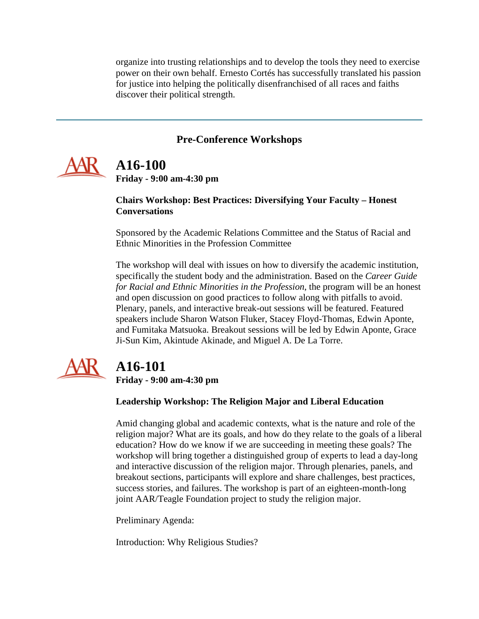organize into trusting relationships and to develop the tools they need to exercise power on their own behalf. Ernesto Cortés has successfully translated his passion for justice into helping the politically disenfranchised of all races and faiths discover their political strength.

### **Pre-Conference Workshops**

<span id="page-4-1"></span><span id="page-4-0"></span>

# **A16-100**

**Friday - 9:00 am-4:30 pm**

#### **Chairs Workshop: Best Practices: Diversifying Your Faculty – Honest Conversations**

Sponsored by the Academic Relations Committee and the Status of Racial and Ethnic Minorities in the Profession Committee

The workshop will deal with issues on how to diversify the academic institution, specifically the student body and the administration. Based on the *Career Guide for Racial and Ethnic Minorities in the Profession*, the program will be an honest and open discussion on good practices to follow along with pitfalls to avoid. Plenary, panels, and interactive break-out sessions will be featured. Featured speakers include Sharon Watson Fluker, Stacey Floyd-Thomas, Edwin Aponte, and Fumitaka Matsuoka. Breakout sessions will be led by Edwin Aponte, Grace Ji-Sun Kim, Akintude Akinade, and Miguel A. De La Torre.



# **A16-101**

**Friday - 9:00 am-4:30 pm**

#### **Leadership Workshop: The Religion Major and Liberal Education**

Amid changing global and academic contexts, what is the nature and role of the religion major? What are its goals, and how do they relate to the goals of a liberal education? How do we know if we are succeeding in meeting these goals? The workshop will bring together a distinguished group of experts to lead a day-long and interactive discussion of the religion major. Through plenaries, panels, and breakout sections, participants will explore and share challenges, best practices, success stories, and failures. The workshop is part of an eighteen-month-long joint AAR/Teagle Foundation project to study the religion major.

Preliminary Agenda:

Introduction: Why Religious Studies?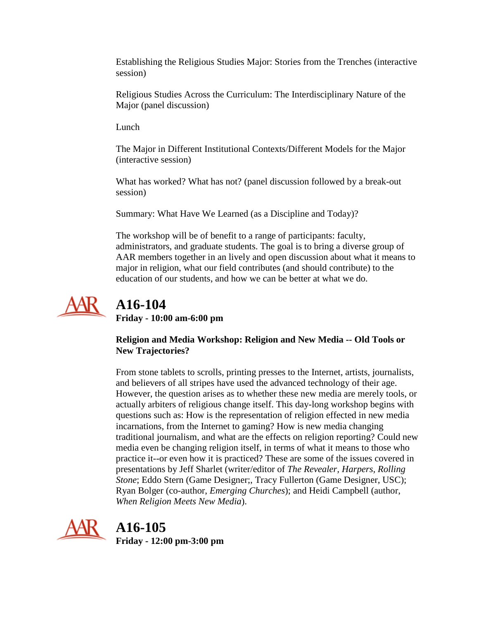Establishing the Religious Studies Major: Stories from the Trenches (interactive session)

Religious Studies Across the Curriculum: The Interdisciplinary Nature of the Major (panel discussion)

Lunch

The Major in Different Institutional Contexts/Different Models for the Major (interactive session)

What has worked? What has not? (panel discussion followed by a break-out session)

Summary: What Have We Learned (as a Discipline and Today)?

The workshop will be of benefit to a range of participants: faculty, administrators, and graduate students. The goal is to bring a diverse group of AAR members together in an lively and open discussion about what it means to major in religion, what our field contributes (and should contribute) to the education of our students, and how we can be better at what we do.



# **A16-104**

**Friday - 10:00 am-6:00 pm**

**Religion and Media Workshop: Religion and New Media -- Old Tools or New Trajectories?**

From stone tablets to scrolls, printing presses to the Internet, artists, journalists, and believers of all stripes have used the advanced technology of their age. However, the question arises as to whether these new media are merely tools, or actually arbiters of religious change itself. This day-long workshop begins with questions such as: How is the representation of religion effected in new media incarnations, from the Internet to gaming? How is new media changing traditional journalism, and what are the effects on religion reporting? Could new media even be changing religion itself, in terms of what it means to those who practice it--or even how it is practiced? These are some of the issues covered in presentations by Jeff Sharlet (writer/editor of *The Revealer, Harpers, Rolling Stone*; Eddo Stern (Game Designer;, Tracy Fullerton (Game Designer, USC); Ryan Bolger (co-author, *Emerging Churches*); and Heidi Campbell (author, *When Religion Meets New Media*).



**A16-105**

**Friday - 12:00 pm-3:00 pm**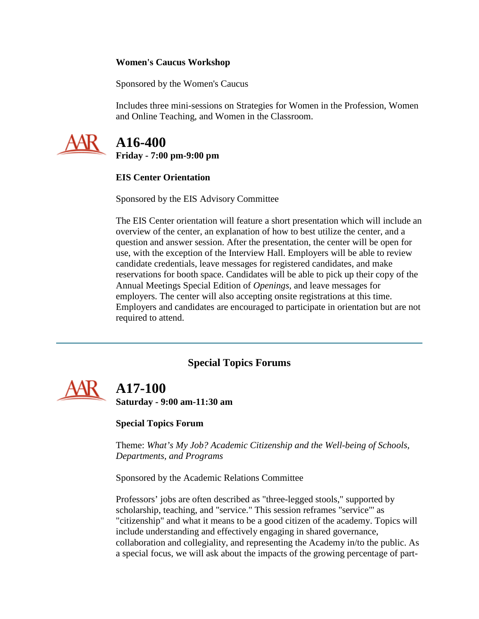#### **Women's Caucus Workshop**

Sponsored by the Women's Caucus

Includes three mini-sessions on Strategies for Women in the Profession, Women and Online Teaching, and Women in the Classroom.



### **A16-400 Friday - 7:00 pm-9:00 pm**

#### **EIS Center Orientation**

Sponsored by the EIS Advisory Committee

The EIS Center orientation will feature a short presentation which will include an overview of the center, an explanation of how to best utilize the center, and a question and answer session. After the presentation, the center will be open for use, with the exception of the Interview Hall. Employers will be able to review candidate credentials, leave messages for registered candidates, and make reservations for booth space. Candidates will be able to pick up their copy of the Annual Meetings Special Edition of *Openings*, and leave messages for employers. The center will also accepting onsite registrations at this time. Employers and candidates are encouraged to participate in orientation but are not required to attend.

### **Special Topics Forums**

<span id="page-6-0"></span>

 **A17-100 Saturday - 9:00 am-11:30 am**

#### **Special Topics Forum**

Theme: *What's My Job? Academic Citizenship and the Well-being of Schools, Departments, and Programs*

Sponsored by the Academic Relations Committee

Professors' jobs are often described as "three-legged stools," supported by scholarship, teaching, and "service." This session reframes "service"' as "citizenship" and what it means to be a good citizen of the academy. Topics will include understanding and effectively engaging in shared governance, collaboration and collegiality, and representing the Academy in/to the public. As a special focus, we will ask about the impacts of the growing percentage of part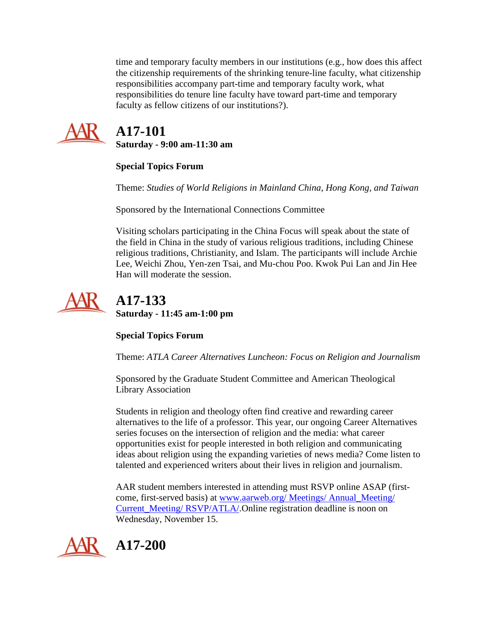time and temporary faculty members in our institutions (e.g., how does this affect the citizenship requirements of the shrinking tenure-line faculty, what citizenship responsibilities accompany part-time and temporary faculty work, what responsibilities do tenure line faculty have toward part-time and temporary faculty as fellow citizens of our institutions?).



## **A17-101 Saturday - 9:00 am-11:30 am**

### **Special Topics Forum**

Theme: *Studies of World Religions in Mainland China, Hong Kong, and Taiwan*

Sponsored by the International Connections Committee

Visiting scholars participating in the China Focus will speak about the state of the field in China in the study of various religious traditions, including Chinese religious traditions, Christianity, and Islam. The participants will include Archie Lee, Weichi Zhou, Yen-zen Tsai, and Mu-chou Poo. Kwok Pui Lan and Jin Hee Han will moderate the session.



## **A17-133 Saturday - 11:45 am-1:00 pm**

### **Special Topics Forum**

Theme: *ATLA Career Alternatives Luncheon: Focus on Religion and Journalism*

Sponsored by the Graduate Student Committee and American Theological Library Association

Students in religion and theology often find creative and rewarding career alternatives to the life of a professor. This year, our ongoing Career Alternatives series focuses on the intersection of religion and the media: what career opportunities exist for people interested in both religion and communicating ideas about religion using the expanding varieties of news media? Come listen to talented and experienced writers about their lives in religion and journalism.

AAR student members interested in attending must RSVP online ASAP (firstcome, first-served basis) at [www.aarweb.org/ Meetings/ Annual\\_Meeting/](http://www.aarweb.org/Meetings/Annual_Meeting/Current_Meeting/RSVP/ATLA/)  Current Meeting/ RSVP/ATLA/.Online registration deadline is noon on Wednesday, November 15.



**A17-200**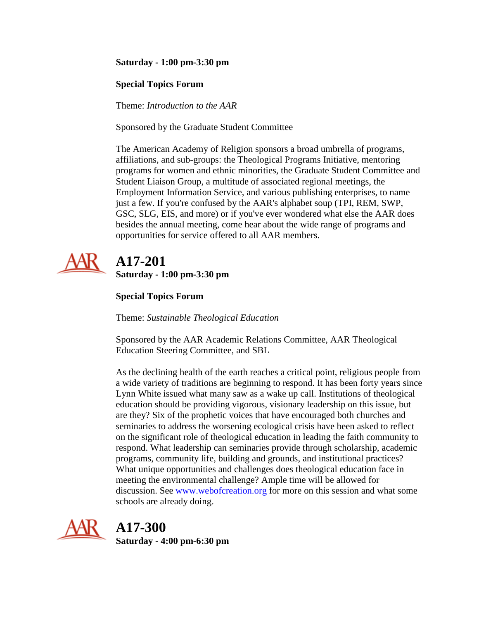#### **Saturday - 1:00 pm-3:30 pm**

#### **Special Topics Forum**

Theme: *Introduction to the AAR*

Sponsored by the Graduate Student Committee

The American Academy of Religion sponsors a broad umbrella of programs, affiliations, and sub-groups: the Theological Programs Initiative, mentoring programs for women and ethnic minorities, the Graduate Student Committee and Student Liaison Group, a multitude of associated regional meetings, the Employment Information Service, and various publishing enterprises, to name just a few. If you're confused by the AAR's alphabet soup (TPI, REM, SWP, GSC, SLG, EIS, and more) or if you've ever wondered what else the AAR does besides the annual meeting, come hear about the wide range of programs and opportunities for service offered to all AAR members.



## **A17-201 Saturday - 1:00 pm-3:30 pm**

### **Special Topics Forum**

Theme: *Sustainable Theological Education*

Sponsored by the AAR Academic Relations Committee, AAR Theological Education Steering Committee, and SBL

As the declining health of the earth reaches a critical point, religious people from a wide variety of traditions are beginning to respond. It has been forty years since Lynn White issued what many saw as a wake up call. Institutions of theological education should be providing vigorous, visionary leadership on this issue, but are they? Six of the prophetic voices that have encouraged both churches and seminaries to address the worsening ecological crisis have been asked to reflect on the significant role of theological education in leading the faith community to respond. What leadership can seminaries provide through scholarship, academic programs, community life, building and grounds, and institutional practices? What unique opportunities and challenges does theological education face in meeting the environmental challenge? Ample time will be allowed for discussion. See [www.webofcreation.org](http://www.webofcreation.org/) for more on this session and what some schools are already doing.



## **A17-300**

**Saturday - 4:00 pm-6:30 pm**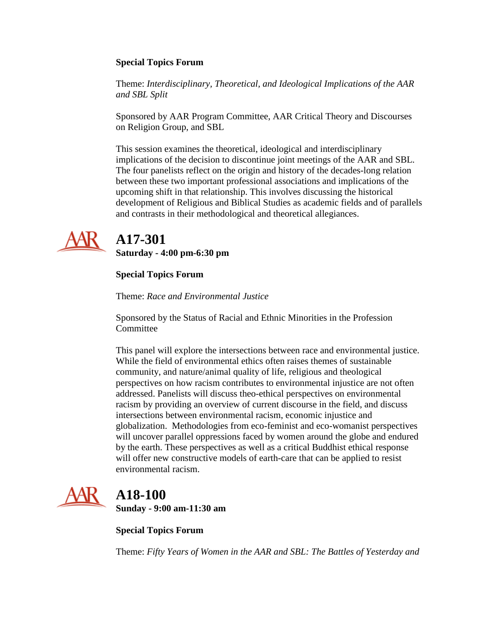#### **Special Topics Forum**

Theme: *Interdisciplinary, Theoretical, and Ideological Implications of the AAR and SBL Split*

Sponsored by AAR Program Committee, AAR Critical Theory and Discourses on Religion Group, and SBL

This session examines the theoretical, ideological and interdisciplinary implications of the decision to discontinue joint meetings of the AAR and SBL. The four panelists reflect on the origin and history of the decades-long relation between these two important professional associations and implications of the upcoming shift in that relationship. This involves discussing the historical development of Religious and Biblical Studies as academic fields and of parallels and contrasts in their methodological and theoretical allegiances.



# **A17-301**

**Saturday - 4:00 pm-6:30 pm**

### **Special Topics Forum**

Theme: *Race and Environmental Justice*

Sponsored by the Status of Racial and Ethnic Minorities in the Profession **Committee** 

This panel will explore the intersections between race and environmental justice. While the field of environmental ethics often raises themes of sustainable community, and nature/animal quality of life, religious and theological perspectives on how racism contributes to environmental injustice are not often addressed. Panelists will discuss theo-ethical perspectives on environmental racism by providing an overview of current discourse in the field, and discuss intersections between environmental racism, economic injustice and globalization. Methodologies from eco-feminist and eco-womanist perspectives will uncover parallel oppressions faced by women around the globe and endured by the earth. These perspectives as well as a critical Buddhist ethical response will offer new constructive models of earth-care that can be applied to resist environmental racism.



# **A18-100**

**Sunday - 9:00 am-11:30 am**

**Special Topics Forum**

Theme: *Fifty Years of Women in the AAR and SBL: The Battles of Yesterday and*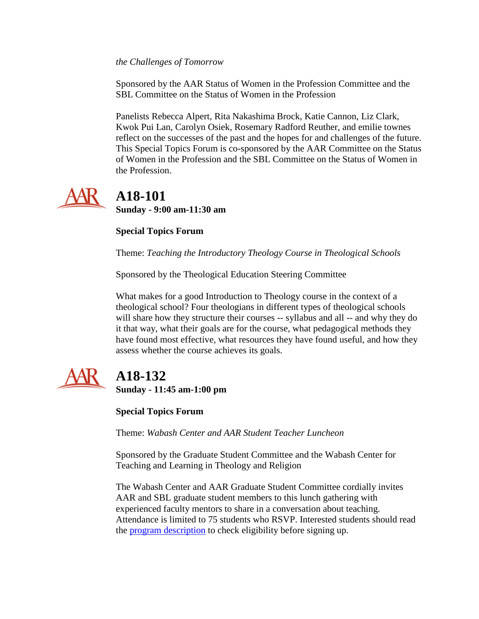*the Challenges of Tomorrow*

Sponsored by the AAR Status of Women in the Profession Committee and the SBL Committee on the Status of Women in the Profession

Panelists Rebecca Alpert, Rita Nakashima Brock, Katie Cannon, Liz Clark, Kwok Pui Lan, Carolyn Osiek, Rosemary Radford Reuther, and emilie townes reflect on the successes of the past and the hopes for and challenges of the future. This Special Topics Forum is co-sponsored by the AAR Committee on the Status of Women in the Profession and the SBL Committee on the Status of Women in the Profession.



 **A18-101 Sunday - 9:00 am-11:30 am**

#### **Special Topics Forum**

Theme: *Teaching the Introductory Theology Course in Theological Schools*

Sponsored by the Theological Education Steering Committee

What makes for a good Introduction to Theology course in the context of a theological school? Four theologians in different types of theological schools will share how they structure their courses -- syllabus and all -- and why they do it that way, what their goals are for the course, what pedagogical methods they have found most effective, what resources they have found useful, and how they assess whether the course achieves its goals.



# **A18-132**

**Sunday - 11:45 am-1:00 pm**

**Special Topics Forum**

Theme: *Wabash Center and AAR Student Teacher Luncheon*

Sponsored by the Graduate Student Committee and the Wabash Center for Teaching and Learning in Theology and Religion

The Wabash Center and AAR Graduate Student Committee cordially invites AAR and SBL graduate student members to this lunch gathering with experienced faculty mentors to share in a conversation about teaching. Attendance is limited to 75 students who RSVP. Interested students should read the [program description](http://www.aarweb.org/Meetings/Annual_Meeting/Current_Meeting/RSVP/Wabash/main.asp) to check eligibility before signing up.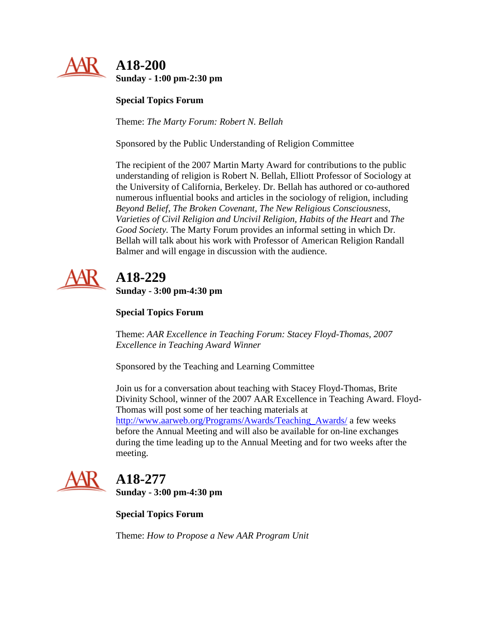

### **A18-200 Sunday - 1:00 pm-2:30 pm**

**Special Topics Forum**

Theme: *The Marty Forum: Robert N. Bellah*

Sponsored by the Public Understanding of Religion Committee

The recipient of the 2007 Martin Marty Award for contributions to the public understanding of religion is Robert N. Bellah, Elliott Professor of Sociology at the University of California, Berkeley. Dr. Bellah has authored or co-authored numerous influential books and articles in the sociology of religion, including *Beyond Belief, The Broken Covenant, The New Religious Consciousness, Varieties of Civil Religion and Uncivil Religion, Habits of the Heart* and *The Good Society.* The Marty Forum provides an informal setting in which Dr. Bellah will talk about his work with Professor of American Religion Randall Balmer and will engage in discussion with the audience.



# **A18-229**

**Sunday - 3:00 pm-4:30 pm**

**Special Topics Forum**

Theme: *AAR Excellence in Teaching Forum: Stacey Floyd-Thomas, 2007 Excellence in Teaching Award Winner*

Sponsored by the Teaching and Learning Committee

Join us for a conversation about teaching with Stacey Floyd-Thomas, Brite Divinity School, winner of the 2007 AAR Excellence in Teaching Award. Floyd-Thomas will post some of her teaching materials at

[http://www.aarweb.org/Programs/Awards/Teaching\\_Awards/](http://www.aarweb.org/Programs/Awards/Teaching_Awards/default.asp) a few weeks before the Annual Meeting and will also be available for on-line exchanges during the time leading up to the Annual Meeting and for two weeks after the meeting.



# **A18-277**

**Sunday - 3:00 pm-4:30 pm**

**Special Topics Forum**

Theme: *How to Propose a New AAR Program Unit*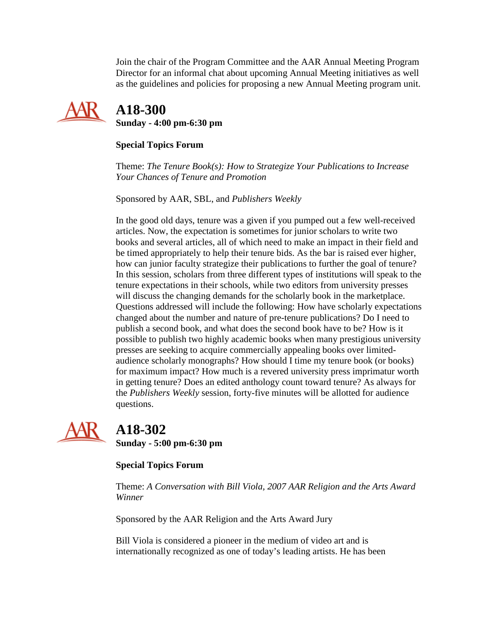Join the chair of the Program Committee and the AAR Annual Meeting Program Director for an informal chat about upcoming Annual Meeting initiatives as well as the guidelines and policies for proposing a new Annual Meeting program unit.



 **A18-300 Sunday - 4:00 pm-6:30 pm**

#### **Special Topics Forum**

Theme: *The Tenure Book(s): How to Strategize Your Publications to Increase Your Chances of Tenure and Promotion*

Sponsored by AAR, SBL, and *Publishers Weekly*

In the good old days, tenure was a given if you pumped out a few well-received articles. Now, the expectation is sometimes for junior scholars to write two books and several articles, all of which need to make an impact in their field and be timed appropriately to help their tenure bids. As the bar is raised ever higher, how can junior faculty strategize their publications to further the goal of tenure? In this session, scholars from three different types of institutions will speak to the tenure expectations in their schools, while two editors from university presses will discuss the changing demands for the scholarly book in the marketplace. Questions addressed will include the following: How have scholarly expectations changed about the number and nature of pre-tenure publications? Do I need to publish a second book, and what does the second book have to be? How is it possible to publish two highly academic books when many prestigious university presses are seeking to acquire commercially appealing books over limitedaudience scholarly monographs? How should I time my tenure book (or books) for maximum impact? How much is a revered university press imprimatur worth in getting tenure? Does an edited anthology count toward tenure? As always for the *Publishers Weekly* session, forty-five minutes will be allotted for audience questions.



# **A18-302**

**Sunday - 5:00 pm-6:30 pm**

### **Special Topics Forum**

Theme: *A Conversation with Bill Viola, 2007 AAR Religion and the Arts Award Winner*

Sponsored by the AAR Religion and the Arts Award Jury

Bill Viola is considered a pioneer in the medium of video art and is internationally recognized as one of today's leading artists. He has been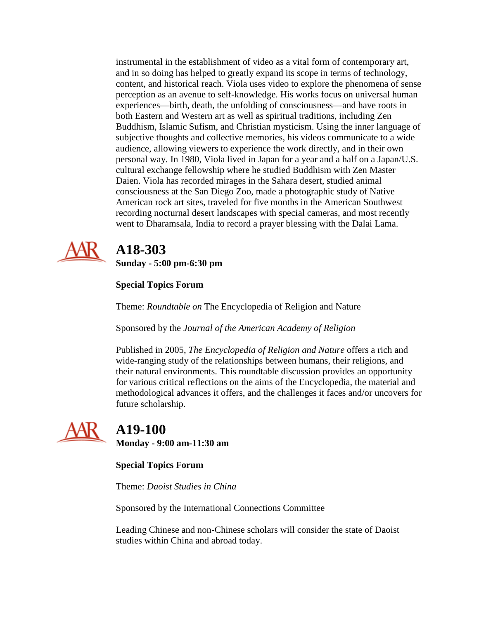instrumental in the establishment of video as a vital form of contemporary art, and in so doing has helped to greatly expand its scope in terms of technology, content, and historical reach. Viola uses video to explore the phenomena of sense perception as an avenue to self-knowledge. His works focus on universal human experiences—birth, death, the unfolding of consciousness—and have roots in both Eastern and Western art as well as spiritual traditions, including Zen Buddhism, Islamic Sufism, and Christian mysticism. Using the inner language of subjective thoughts and collective memories, his videos communicate to a wide audience, allowing viewers to experience the work directly, and in their own personal way. In 1980, Viola lived in Japan for a year and a half on a Japan/U.S. cultural exchange fellowship where he studied Buddhism with Zen Master Daien. Viola has recorded mirages in the Sahara desert, studied animal consciousness at the San Diego Zoo, made a photographic study of Native American rock art sites, traveled for five months in the American Southwest recording nocturnal desert landscapes with special cameras, and most recently went to Dharamsala, India to record a prayer blessing with the Dalai Lama.



# **A18-303**

**Sunday - 5:00 pm-6:30 pm**

### **Special Topics Forum**

Theme: *Roundtable on* The Encyclopedia of Religion and Nature

Sponsored by the *Journal of the American Academy of Religion*

Published in 2005, *The Encyclopedia of Religion and Nature* offers a rich and wide-ranging study of the relationships between humans, their religions, and their natural environments. This roundtable discussion provides an opportunity for various critical reflections on the aims of the Encyclopedia, the material and methodological advances it offers, and the challenges it faces and/or uncovers for future scholarship.



### **A19-100 Monday - 9:00 am-11:30 am**

**Special Topics Forum**

Theme: *Daoist Studies in China*

Sponsored by the International Connections Committee

Leading Chinese and non-Chinese scholars will consider the state of Daoist studies within China and abroad today.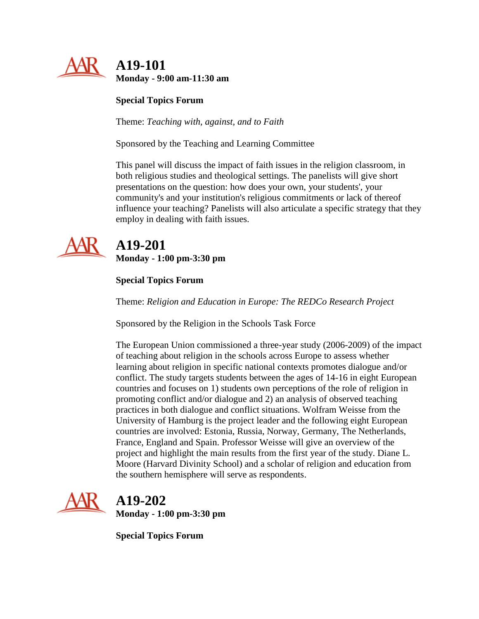

**Special Topics Forum**

Theme: *Teaching with, against, and to Faith*

Sponsored by the Teaching and Learning Committee

This panel will discuss the impact of faith issues in the religion classroom, in both religious studies and theological settings. The panelists will give short presentations on the question: how does your own, your students', your community's and your institution's religious commitments or lack of thereof influence your teaching? Panelists will also articulate a specific strategy that they employ in dealing with faith issues.



# **A19-201**

**Monday - 1:00 pm-3:30 pm**

### **Special Topics Forum**

Theme: *Religion and Education in Europe: The REDCo Research Project*

Sponsored by the Religion in the Schools Task Force

The European Union commissioned a three-year study (2006-2009) of the impact of teaching about religion in the schools across Europe to assess whether learning about religion in specific national contexts promotes dialogue and/or conflict. The study targets students between the ages of 14-16 in eight European countries and focuses on 1) students own perceptions of the role of religion in promoting conflict and/or dialogue and 2) an analysis of observed teaching practices in both dialogue and conflict situations. Wolfram Weisse from the University of Hamburg is the project leader and the following eight European countries are involved: Estonia, Russia, Norway, Germany, The Netherlands, France, England and Spain. Professor Weisse will give an overview of the project and highlight the main results from the first year of the study. Diane L. Moore (Harvard Divinity School) and a scholar of religion and education from the southern hemisphere will serve as respondents.



# **A19-202**

**Monday - 1:00 pm-3:30 pm**

**Special Topics Forum**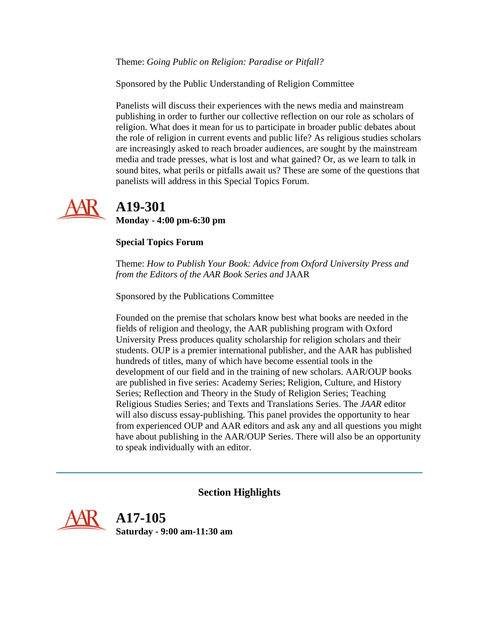Theme: *Going Public on Religion: Paradise or Pitfall?*

Sponsored by the Public Understanding of Religion Committee

Panelists will discuss their experiences with the news media and mainstream publishing in order to further our collective reflection on our role as scholars of religion. What does it mean for us to participate in broader public debates about the role of religion in current events and public life? As religious studies scholars are increasingly asked to reach broader audiences, are sought by the mainstream media and trade presses, what is lost and what gained? Or, as we learn to talk in sound bites, what perils or pitfalls await us? These are some of the questions that panelists will address in this Special Topics Forum.



# **A19-301**

**Monday - 4:00 pm-6:30 pm**

#### **Special Topics Forum**

Theme: *How to Publish Your Book: Advice from Oxford University Press and from the Editors of the AAR Book Series and* JAAR

Sponsored by the Publications Committee

Founded on the premise that scholars know best what books are needed in the fields of religion and theology, the AAR publishing program with Oxford University Press produces quality scholarship for religion scholars and their students. OUP is a premier international publisher, and the AAR has published hundreds of titles, many of which have become essential tools in the development of our field and in the training of new scholars. AAR/OUP books are published in five series: Academy Series; Religion, Culture, and History Series; Reflection and Theory in the Study of Religion Series; Teaching Religious Studies Series; and Texts and Translations Series. The *JAAR* editor will also discuss essay-publishing. This panel provides the opportunity to hear from experienced OUP and AAR editors and ask any and all questions you might have about publishing in the AAR/OUP Series. There will also be an opportunity to speak individually with an editor.

#### **Section Highlights**

<span id="page-15-0"></span>

 **A17-105 Saturday - 9:00 am-11:30 am**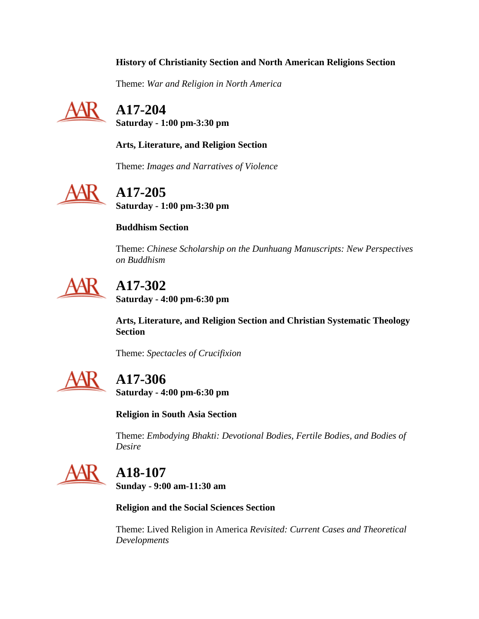### **History of Christianity Section and North American Religions Section**

Theme: *War and Religion in North America*



 **A17-204 Saturday - 1:00 pm-3:30 pm**

**Arts, Literature, and Religion Section**

Theme: *Images and Narratives of Violence*



**A17-205**

**Saturday - 1:00 pm-3:30 pm**

#### **Buddhism Section**

Theme: *Chinese Scholarship on the Dunhuang Manuscripts: New Perspectives on Buddhism*



# **A17-302**

**Saturday - 4:00 pm-6:30 pm**

**Arts, Literature, and Religion Section and Christian Systematic Theology Section**

Theme: *Spectacles of Crucifixion*



## **A17-306**

**Saturday - 4:00 pm-6:30 pm**

**Religion in South Asia Section**

Theme: *Embodying Bhakti: Devotional Bodies, Fertile Bodies, and Bodies of Desire*



# **A18-107**

**Sunday - 9:00 am-11:30 am**

**Religion and the Social Sciences Section**

Theme: Lived Religion in America *Revisited: Current Cases and Theoretical Developments*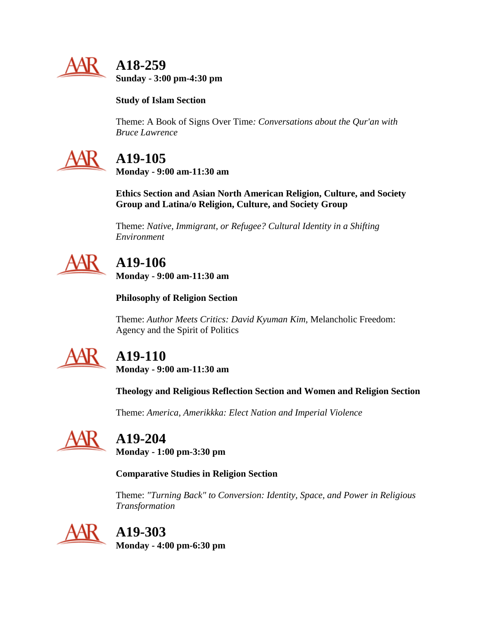

 **A18-259 Sunday - 3:00 pm-4:30 pm**

### **Study of Islam Section**

Theme: A Book of Signs Over Time*: Conversations about the Qur'an with Bruce Lawrence*



# **A19-105**

**Monday - 9:00 am-11:30 am**

**Ethics Section and Asian North American Religion, Culture, and Society Group and Latina/o Religion, Culture, and Society Group**

Theme: *Native, Immigrant, or Refugee? Cultural Identity in a Shifting Environment*

# **A19-106**

**Monday - 9:00 am-11:30 am**

**Philosophy of Religion Section**

Theme: *Author Meets Critics: David Kyuman Kim,* Melancholic Freedom: Agency and the Spirit of Politics



# **A19-110**

**Monday - 9:00 am-11:30 am**

**Theology and Religious Reflection Section and Women and Religion Section**

Theme: *America, Amerikkka: Elect Nation and Imperial Violence*



# **A19-204**

**Monday - 1:00 pm-3:30 pm**

### **Comparative Studies in Religion Section**

Theme: *"Turning Back" to Conversion: Identity, Space, and Power in Religious Transformation*



# **A19-303**

**Monday - 4:00 pm-6:30 pm**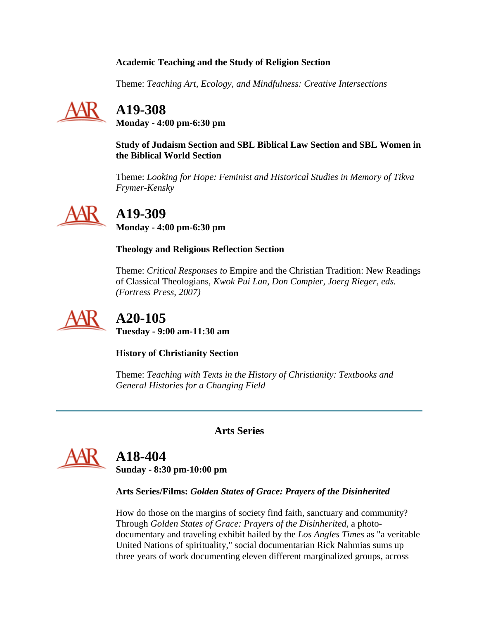#### **Academic Teaching and the Study of Religion Section**

Theme: *Teaching Art, Ecology, and Mindfulness: Creative Intersections*



## **A19-308**

**Monday - 4:00 pm-6:30 pm**

**Study of Judaism Section and SBL Biblical Law Section and SBL Women in the Biblical World Section**

Theme: *Looking for Hope: Feminist and Historical Studies in Memory of Tikva Frymer-Kensky*



# **A19-309**

**Monday - 4:00 pm-6:30 pm**

### **Theology and Religious Reflection Section**

Theme: *Critical Responses to* Empire and the Christian Tradition: New Readings of Classical Theologians*, Kwok Pui Lan, Don Compier, Joerg Rieger, eds. (Fortress Press, 2007)*



# **A20-105**

**Tuesday - 9:00 am-11:30 am**

**History of Christianity Section**

Theme: *Teaching with Texts in the History of Christianity: Textbooks and General Histories for a Changing Field*

**Arts Series**

<span id="page-18-0"></span>

## **A18-404**

**Sunday - 8:30 pm-10:00 pm**

**Arts Series/Films:** *Golden States of Grace: Prayers of the Disinherited*

How do those on the margins of society find faith, sanctuary and community? Through *Golden States of Grace: Prayers of the Disinherited,* a photodocumentary and traveling exhibit hailed by the *Los Angles Times* as "a veritable United Nations of spirituality," social documentarian Rick Nahmias sums up three years of work documenting eleven different marginalized groups, across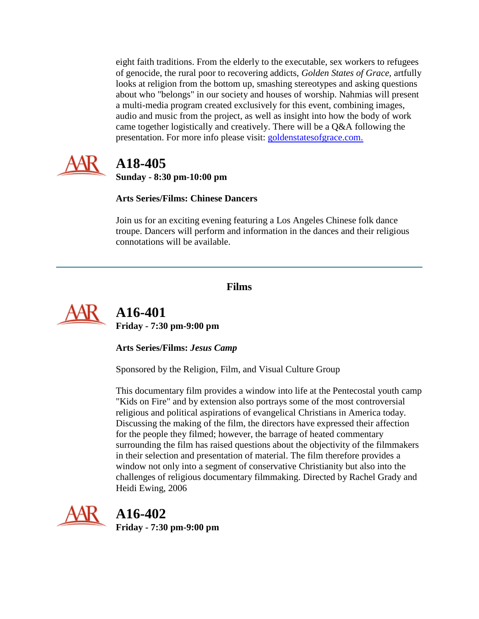eight faith traditions. From the elderly to the executable, sex workers to refugees of genocide, the rural poor to recovering addicts, *Golden States of Grace,* artfully looks at religion from the bottom up, smashing stereotypes and asking questions about who "belongs" in our society and houses of worship. Nahmias will present a multi-media program created exclusively for this event, combining images, audio and music from the project, as well as insight into how the body of work came together logistically and creatively. There will be a Q&A following the presentation. For more info please visit: [goldenstatesofgrace.com.](http://goldenstatesofgrace.com/)



## **A18-405 Sunday - 8:30 pm-10:00 pm**

**Arts Series/Films: Chinese Dancers**

Join us for an exciting evening featuring a Los Angeles Chinese folk dance troupe. Dancers will perform and information in the dances and their religious connotations will be available.

### **Films**

<span id="page-19-0"></span>

 **A16-401 Friday - 7:30 pm-9:00 pm**

**Arts Series/Films:** *Jesus Camp*

Sponsored by the Religion, Film, and Visual Culture Group

This documentary film provides a window into life at the Pentecostal youth camp "Kids on Fire" and by extension also portrays some of the most controversial religious and political aspirations of evangelical Christians in America today. Discussing the making of the film, the directors have expressed their affection for the people they filmed; however, the barrage of heated commentary surrounding the film has raised questions about the objectivity of the filmmakers in their selection and presentation of material. The film therefore provides a window not only into a segment of conservative Christianity but also into the challenges of religious documentary filmmaking. Directed by Rachel Grady and Heidi Ewing, 2006



**A16-402**

**Friday - 7:30 pm-9:00 pm**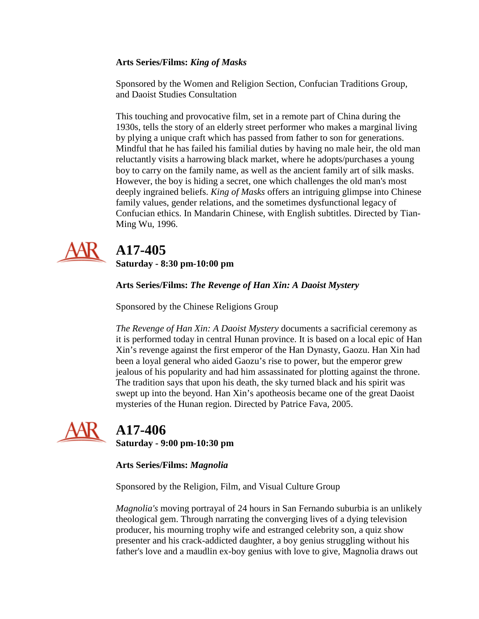#### **Arts Series/Films:** *King of Masks*

Sponsored by the Women and Religion Section, Confucian Traditions Group, and Daoist Studies Consultation

This touching and provocative film, set in a remote part of China during the 1930s, tells the story of an elderly street performer who makes a marginal living by plying a unique craft which has passed from father to son for generations. Mindful that he has failed his familial duties by having no male heir, the old man reluctantly visits a harrowing black market, where he adopts/purchases a young boy to carry on the family name, as well as the ancient family art of silk masks. However, the boy is hiding a secret, one which challenges the old man's most deeply ingrained beliefs. *King of Masks* offers an intriguing glimpse into Chinese family values, gender relations, and the sometimes dysfunctional legacy of Confucian ethics. In Mandarin Chinese, with English subtitles. Directed by Tian-Ming Wu, 1996.



# **A17-405**

**Saturday - 8:30 pm-10:00 pm**

#### **Arts Series/Films:** *The Revenge of Han Xin: A Daoist Mystery*

Sponsored by the Chinese Religions Group

*The Revenge of Han Xin: A Daoist Mystery* documents a sacrificial ceremony as it is performed today in central Hunan province. It is based on a local epic of Han Xin's revenge against the first emperor of the Han Dynasty, Gaozu. Han Xin had been a loyal general who aided Gaozu's rise to power, but the emperor grew jealous of his popularity and had him assassinated for plotting against the throne. The tradition says that upon his death, the sky turned black and his spirit was swept up into the beyond. Han Xin's apotheosis became one of the great Daoist mysteries of the Hunan region. Directed by Patrice Fava, 2005.



## **A17-406**

**Saturday - 9:00 pm-10:30 pm**

#### **Arts Series/Films:** *Magnolia*

Sponsored by the Religion, Film, and Visual Culture Group

*Magnolia's* moving portrayal of 24 hours in San Fernando suburbia is an unlikely theological gem. Through narrating the converging lives of a dying television producer, his mourning trophy wife and estranged celebrity son, a quiz show presenter and his crack-addicted daughter, a boy genius struggling without his father's love and a maudlin ex-boy genius with love to give, Magnolia draws out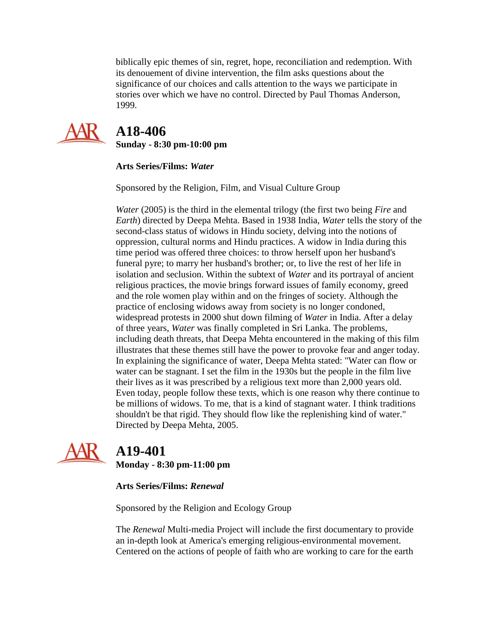biblically epic themes of sin, regret, hope, reconciliation and redemption. With its denouement of divine intervention, the film asks questions about the significance of our choices and calls attention to the ways we participate in stories over which we have no control. Directed by Paul Thomas Anderson, 1999.



 **A18-406 Sunday - 8:30 pm-10:00 pm**

**Arts Series/Films:** *Water*

Sponsored by the Religion, Film, and Visual Culture Group

*Water* (2005) is the third in the elemental trilogy (the first two being *Fire* and *Earth*) directed by Deepa Mehta. Based in 1938 India, *Water* tells the story of the second-class status of widows in Hindu society, delving into the notions of oppression, cultural norms and Hindu practices. A widow in India during this time period was offered three choices: to throw herself upon her husband's funeral pyre; to marry her husband's brother; or, to live the rest of her life in isolation and seclusion. Within the subtext of *Water* and its portrayal of ancient religious practices, the movie brings forward issues of family economy, greed and the role women play within and on the fringes of society. Although the practice of enclosing widows away from society is no longer condoned, widespread protests in 2000 shut down filming of *Water* in India. After a delay of three years, *Water* was finally completed in Sri Lanka. The problems, including death threats, that Deepa Mehta encountered in the making of this film illustrates that these themes still have the power to provoke fear and anger today. In explaining the significance of water, Deepa Mehta stated: "Water can flow or water can be stagnant. I set the film in the 1930s but the people in the film live their lives as it was prescribed by a religious text more than 2,000 years old. Even today, people follow these texts, which is one reason why there continue to be millions of widows. To me, that is a kind of stagnant water. I think traditions shouldn't be that rigid. They should flow like the replenishing kind of water." Directed by Deepa Mehta, 2005.



# **A19-401**

**Monday - 8:30 pm-11:00 pm**

### **Arts Series/Films:** *Renewal*

Sponsored by the Religion and Ecology Group

The *Renewal* Multi-media Project will include the first documentary to provide an in-depth look at America's emerging religious-environmental movement. Centered on the actions of people of faith who are working to care for the earth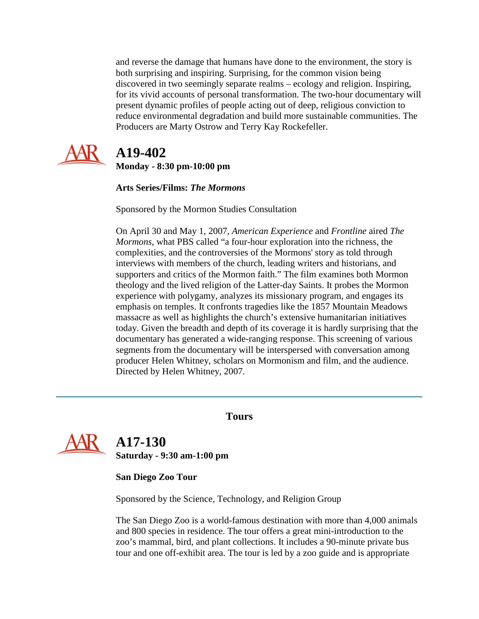and reverse the damage that humans have done to the environment, the story is both surprising and inspiring. Surprising, for the common vision being discovered in two seemingly separate realms – ecology and religion. Inspiring, for its vivid accounts of personal transformation. The two-hour documentary will present dynamic profiles of people acting out of deep, religious conviction to reduce environmental degradation and build more sustainable communities. The Producers are Marty Ostrow and Terry Kay Rockefeller.



## **A19-402**

**Monday - 8:30 pm-10:00 pm**

### **Arts Series/Films:** *The Mormons*

Sponsored by the Mormon Studies Consultation

On April 30 and May 1, 2007, *American Experience* and *Frontline* aired *The Mormons*, what PBS called "a four-hour exploration into the richness, the complexities, and the controversies of the Mormons' story as told through interviews with members of the church, leading writers and historians, and supporters and critics of the Mormon faith." The film examines both Mormon theology and the lived religion of the Latter-day Saints. It probes the Mormon experience with polygamy, analyzes its missionary program, and engages its emphasis on temples. It confronts tragedies like the 1857 Mountain Meadows massacre as well as highlights the church's extensive humanitarian initiatives today. Given the breadth and depth of its coverage it is hardly surprising that the documentary has generated a wide-ranging response. This screening of various segments from the documentary will be interspersed with conversation among producer Helen Whitney, scholars on Mormonism and film, and the audience. Directed by Helen Whitney, 2007.

### **Tours**

<span id="page-22-0"></span>

 **A17-130 Saturday - 9:30 am-1:00 pm**

**San Diego Zoo Tour**

Sponsored by the Science, Technology, and Religion Group

The San Diego Zoo is a world-famous destination with more than 4,000 animals and 800 species in residence. The tour offers a great mini-introduction to the zoo's mammal, bird, and plant collections. It includes a 90-minute private bus tour and one off-exhibit area. The tour is led by a zoo guide and is appropriate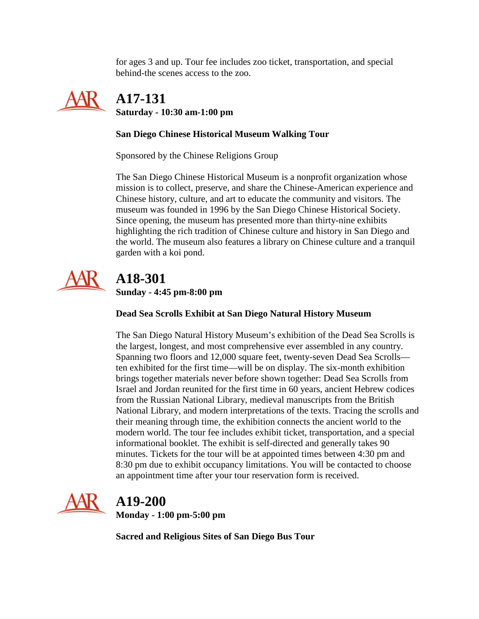for ages 3 and up. Tour fee includes zoo ticket, transportation, and special behind-the scenes access to the zoo.



 **A17-131 Saturday - 10:30 am-1:00 pm**

### **San Diego Chinese Historical Museum Walking Tour**

Sponsored by the Chinese Religions Group

The San Diego Chinese Historical Museum is a nonprofit organization whose mission is to collect, preserve, and share the Chinese-American experience and Chinese history, culture, and art to educate the community and visitors. The museum was founded in 1996 by the San Diego Chinese Historical Society. Since opening, the museum has presented more than thirty-nine exhibits highlighting the rich tradition of Chinese culture and history in San Diego and the world. The museum also features a library on Chinese culture and a tranquil garden with a koi pond.



## **A18-301 Sunday - 4:45 pm-8:00 pm**

### **Dead Sea Scrolls Exhibit at San Diego Natural History Museum**

The San Diego Natural History Museum's exhibition of the Dead Sea Scrolls is the largest, longest, and most comprehensive ever assembled in any country. Spanning two floors and 12,000 square feet, twenty-seven Dead Sea Scrolls ten exhibited for the first time—will be on display. The six-month exhibition brings together materials never before shown together: Dead Sea Scrolls from Israel and Jordan reunited for the first time in 60 years, ancient Hebrew codices from the Russian National Library, medieval manuscripts from the British National Library, and modern interpretations of the texts. Tracing the scrolls and their meaning through time, the exhibition connects the ancient world to the modern world. The tour fee includes exhibit ticket, transportation, and a special informational booklet. The exhibit is self-directed and generally takes 90 minutes. Tickets for the tour will be at appointed times between 4:30 pm and 8:30 pm due to exhibit occupancy limitations. You will be contacted to choose an appointment time after your tour reservation form is received.



# **A19-200**

**Monday - 1:00 pm-5:00 pm**

**Sacred and Religious Sites of San Diego Bus Tour**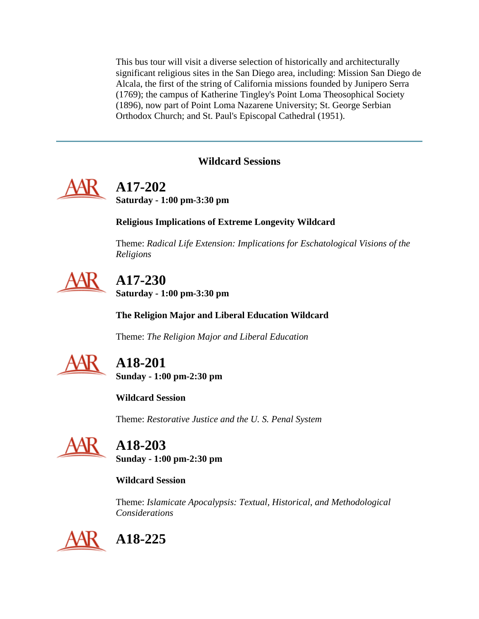This bus tour will visit a diverse selection of historically and architecturally significant religious sites in the San Diego area, including: Mission San Diego de Alcala, the first of the string of California missions founded by Junipero Serra (1769); the campus of Katherine Tingley's Point Loma Theosophical Society (1896), now part of Point Loma Nazarene University; St. George Serbian Orthodox Church; and St. Paul's Episcopal Cathedral (1951).

### **Wildcard Sessions**

<span id="page-24-0"></span>

# **A17-202**

**Saturday - 1:00 pm-3:30 pm**

**Religious Implications of Extreme Longevity Wildcard**

Theme: *Radical Life Extension: Implications for Eschatological Visions of the Religions*



# **A17-230**

**Saturday - 1:00 pm-3:30 pm**

**The Religion Major and Liberal Education Wildcard**

Theme: *The Religion Major and Liberal Education*



# **A18-201**

**Sunday - 1:00 pm-2:30 pm**

**Wildcard Session**

Theme: *Restorative Justice and the U. S. Penal System*



# **A18-203**

**Sunday - 1:00 pm-2:30 pm**

### **Wildcard Session**

Theme: *Islamicate Apocalypsis: Textual, Historical, and Methodological Considerations*

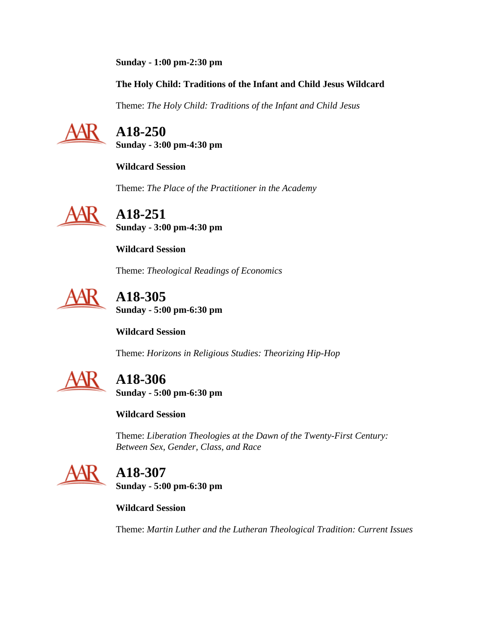**Sunday - 1:00 pm-2:30 pm**

**The Holy Child: Traditions of the Infant and Child Jesus Wildcard**

Theme: *The Holy Child: Traditions of the Infant and Child Jesus*



 **A18-250 Sunday - 3:00 pm-4:30 pm**

**Wildcard Session**

Theme: *The Place of the Practitioner in the Academy*



 **A18-251 Sunday - 3:00 pm-4:30 pm**

**Wildcard Session**

Theme: *Theological Readings of Economics*



 **A18-305 Sunday - 5:00 pm-6:30 pm**

**Wildcard Session**

Theme: *Horizons in Religious Studies: Theorizing Hip-Hop*



**A18-306**

**Sunday - 5:00 pm-6:30 pm**

**Wildcard Session**

Theme: *Liberation Theologies at the Dawn of the Twenty-First Century: Between Sex, Gender, Class, and Race*



# **A18-307**

**Sunday - 5:00 pm-6:30 pm**

**Wildcard Session**

Theme: *Martin Luther and the Lutheran Theological Tradition: Current Issues*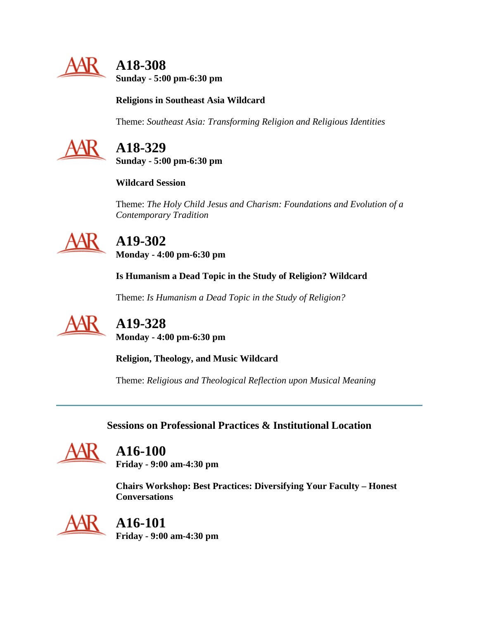

 **A18-308 Sunday - 5:00 pm-6:30 pm**

### **Religions in Southeast Asia Wildcard**

Theme: *Southeast Asia: Transforming Religion and Religious Identities*



# **A18-329**

**Sunday - 5:00 pm-6:30 pm**

**Wildcard Session**

Theme: *The Holy Child Jesus and Charism: Foundations and Evolution of a Contemporary Tradition*



## **A19-302 Monday - 4:00 pm-6:30 pm**

**Is Humanism a Dead Topic in the Study of Religion? Wildcard**

Theme: *Is Humanism a Dead Topic in the Study of Religion?*



**A19-328**

**Monday - 4:00 pm-6:30 pm**

**Religion, Theology, and Music Wildcard**

Theme: *Religious and Theological Reflection upon Musical Meaning*

**Sessions on Professional Practices & Institutional Location**

<span id="page-26-0"></span>

## **A16-100**

**Friday - 9:00 am-4:30 pm**

**Chairs Workshop: Best Practices: Diversifying Your Faculty – Honest Conversations**



# **A16-101**

**Friday - 9:00 am-4:30 pm**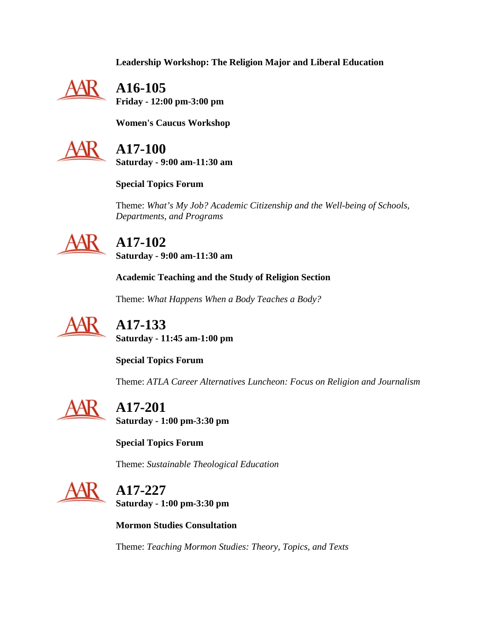**Leadership Workshop: The Religion Major and Liberal Education**



 **A16-105 Friday - 12:00 pm-3:00 pm**

**Women's Caucus Workshop**



 **A17-100 Saturday - 9:00 am-11:30 am**

**Special Topics Forum**

Theme: *What's My Job? Academic Citizenship and the Well-being of Schools, Departments, and Programs*



# **A17-102**

**Saturday - 9:00 am-11:30 am**

**Academic Teaching and the Study of Religion Section**

Theme: *What Happens When a Body Teaches a Body?*



 **A17-133 Saturday - 11:45 am-1:00 pm**

**Special Topics Forum**

Theme: *ATLA Career Alternatives Luncheon: Focus on Religion and Journalism*



 **A17-201 Saturday - 1:00 pm-3:30 pm**

**Special Topics Forum**

Theme: *Sustainable Theological Education*



 **A17-227 Saturday - 1:00 pm-3:30 pm**

**Mormon Studies Consultation**

Theme: *Teaching Mormon Studies: Theory, Topics, and Texts*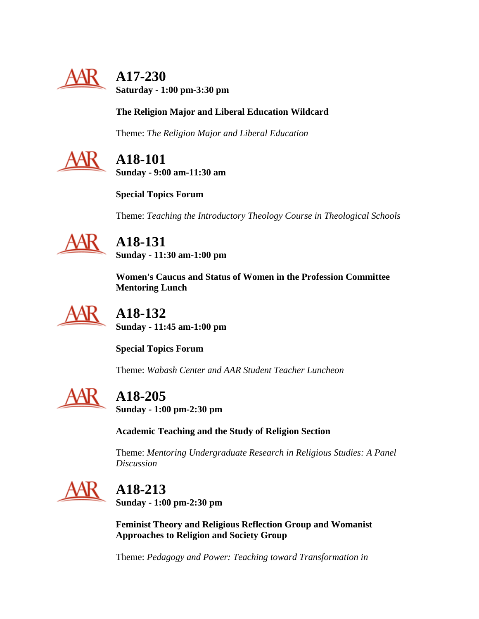

# **A17-230**

**Saturday - 1:00 pm-3:30 pm**

### **The Religion Major and Liberal Education Wildcard**

Theme: *The Religion Major and Liberal Education*



 **A18-101 Sunday - 9:00 am-11:30 am**

**Special Topics Forum**

Theme: *Teaching the Introductory Theology Course in Theological Schools*



# **A18-131**

**Sunday - 11:30 am-1:00 pm**

**Women's Caucus and Status of Women in the Profession Committee Mentoring Lunch**



 **A18-132 Sunday - 11:45 am-1:00 pm**

**Special Topics Forum**

Theme: *Wabash Center and AAR Student Teacher Luncheon*



# **A18-205**

**Sunday - 1:00 pm-2:30 pm**

**Academic Teaching and the Study of Religion Section**

Theme: *Mentoring Undergraduate Research in Religious Studies: A Panel Discussion*



# **A18-213**

**Sunday - 1:00 pm-2:30 pm**

**Feminist Theory and Religious Reflection Group and Womanist Approaches to Religion and Society Group**

Theme: *Pedagogy and Power: Teaching toward Transformation in*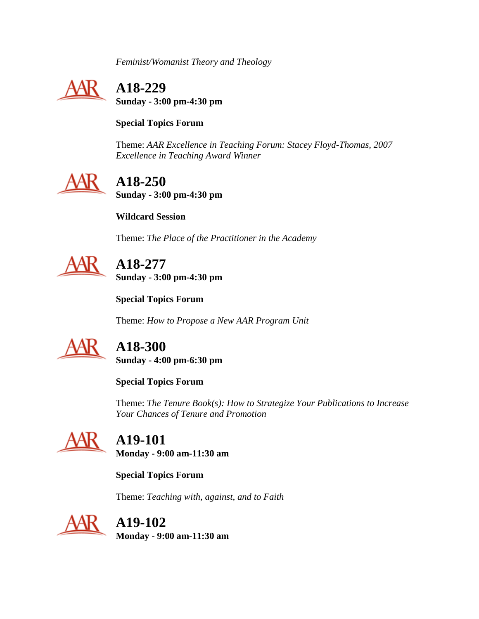*Feminist/Womanist Theory and Theology*



 **A18-229 Sunday - 3:00 pm-4:30 pm**

**Special Topics Forum**

Theme: *AAR Excellence in Teaching Forum: Stacey Floyd-Thomas, 2007 Excellence in Teaching Award Winner*



 **A18-250 Sunday - 3:00 pm-4:30 pm**

**Wildcard Session**

Theme: *The Place of the Practitioner in the Academy*



 **A18-277 Sunday - 3:00 pm-4:30 pm**

**Special Topics Forum**

Theme: *How to Propose a New AAR Program Unit*



**A18-300**

**Sunday - 4:00 pm-6:30 pm**

**Special Topics Forum**

Theme: *The Tenure Book(s): How to Strategize Your Publications to Increase Your Chances of Tenure and Promotion*



 **A19-101 Monday - 9:00 am-11:30 am**

**Special Topics Forum**

Theme: *Teaching with, against, and to Faith*



# **A19-102**

**Monday - 9:00 am-11:30 am**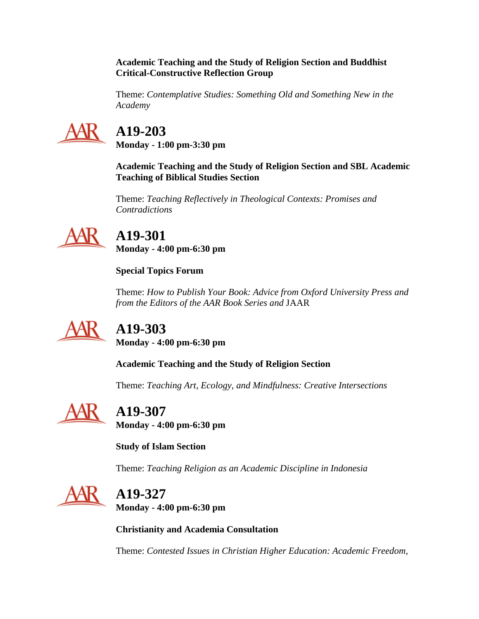#### **Academic Teaching and the Study of Religion Section and Buddhist Critical-Constructive Reflection Group**

Theme: *Contemplative Studies: Something Old and Something New in the Academy*



# **A19-203**

**Monday - 1:00 pm-3:30 pm**

**Academic Teaching and the Study of Religion Section and SBL Academic Teaching of Biblical Studies Section**

Theme: *Teaching Reflectively in Theological Contexts: Promises and Contradictions*



# **A19-301**

**Monday - 4:00 pm-6:30 pm**

**Special Topics Forum**

Theme: *How to Publish Your Book: Advice from Oxford University Press and from the Editors of the AAR Book Series and* JAAR



# **A19-303**

**Monday - 4:00 pm-6:30 pm**

**Academic Teaching and the Study of Religion Section**

Theme: *Teaching Art, Ecology, and Mindfulness: Creative Intersections*



# **A19-307**

**Monday - 4:00 pm-6:30 pm**

**Study of Islam Section**

Theme: *Teaching Religion as an Academic Discipline in Indonesia*



# **A19-327**

**Monday - 4:00 pm-6:30 pm**

**Christianity and Academia Consultation**

Theme: *Contested Issues in Christian Higher Education: Academic Freedom,*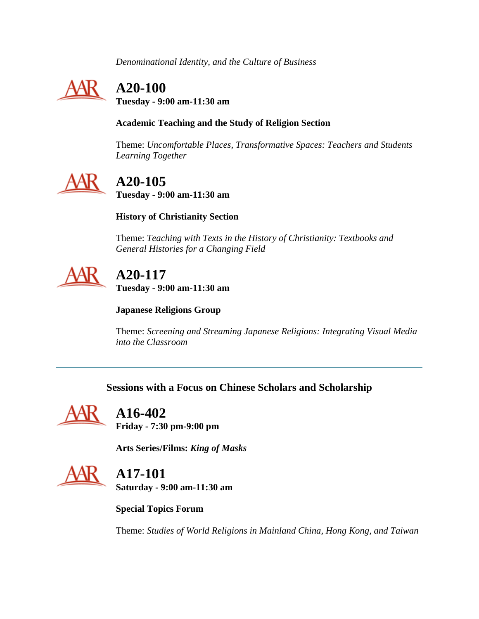*Denominational Identity, and the Culture of Business*



# **A20-100**

**Tuesday - 9:00 am-11:30 am**

### **Academic Teaching and the Study of Religion Section**

Theme: *Uncomfortable Places, Transformative Spaces: Teachers and Students Learning Together*



# **A20-105**

**Tuesday - 9:00 am-11:30 am**

### **History of Christianity Section**

Theme: *Teaching with Texts in the History of Christianity: Textbooks and General Histories for a Changing Field*



# **A20-117**

**Tuesday - 9:00 am-11:30 am**

### **Japanese Religions Group**

Theme: *Screening and Streaming Japanese Religions: Integrating Visual Media into the Classroom*

### **Sessions with a Focus on Chinese Scholars and Scholarship**

<span id="page-31-0"></span>

# **A16-402**

**Friday - 7:30 pm-9:00 pm**

**Arts Series/Films:** *King of Masks*



# **A17-101**

**Saturday - 9:00 am-11:30 am**

**Special Topics Forum**

Theme: *Studies of World Religions in Mainland China, Hong Kong, and Taiwan*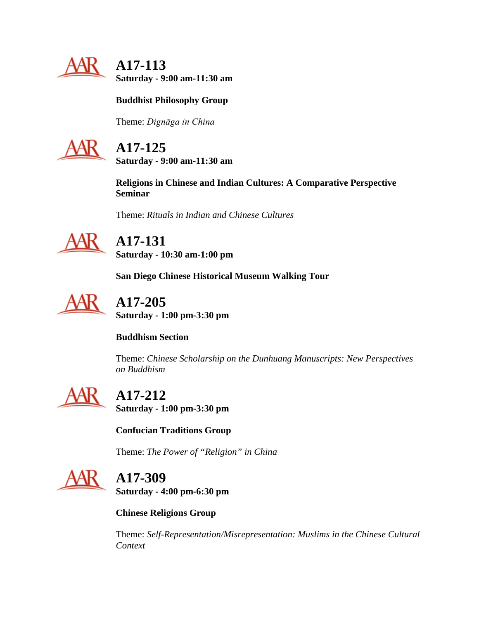

 **A17-113 Saturday - 9:00 am-11:30 am**

### **Buddhist Philosophy Group**

Theme: *Dignāga in China*



# **A17-125**

**Saturday - 9:00 am-11:30 am**

**Religions in Chinese and Indian Cultures: A Comparative Perspective Seminar**

Theme: *Rituals in Indian and Chinese Cultures*



**A17-131 Saturday - 10:30 am-1:00 pm**

**San Diego Chinese Historical Museum Walking Tour**



 **A17-205 Saturday - 1:00 pm-3:30 pm**

**Buddhism Section**

Theme: *Chinese Scholarship on the Dunhuang Manuscripts: New Perspectives on Buddhism*



# **A17-212**

**Saturday - 1:00 pm-3:30 pm**

**Confucian Traditions Group**

Theme: *The Power of "Religion" in China*



**A17-309**

**Saturday - 4:00 pm-6:30 pm**

**Chinese Religions Group**

Theme: *Self-Representation/Misrepresentation: Muslims in the Chinese Cultural Context*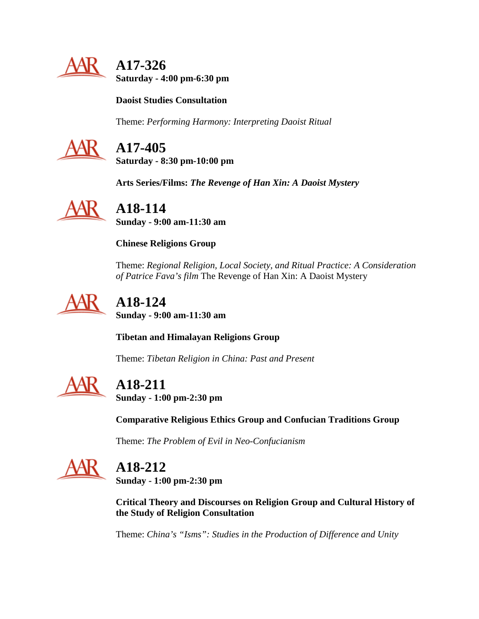

 **A17-326 Saturday - 4:00 pm-6:30 pm**

**Daoist Studies Consultation**

Theme: *Performing Harmony: Interpreting Daoist Ritual* 



# **A17-405**

**Saturday - 8:30 pm-10:00 pm**

**Arts Series/Films:** *The Revenge of Han Xin: A Daoist Mystery*



**A18-114**

**Sunday - 9:00 am-11:30 am**

**Chinese Religions Group**

Theme: *Regional Religion, Local Society, and Ritual Practice: A Consideration of Patrice Fava's film* The Revenge of Han Xin: A Daoist Mystery



# **A18-124**

**Sunday - 9:00 am-11:30 am**

**Tibetan and Himalayan Religions Group**

Theme: *Tibetan Religion in China: Past and Present*



# **A18-211**

**Sunday - 1:00 pm-2:30 pm**

**Comparative Religious Ethics Group and Confucian Traditions Group**

Theme: *The Problem of Evil in Neo-Confucianism*



# **A18-212**

**Sunday - 1:00 pm-2:30 pm**

**Critical Theory and Discourses on Religion Group and Cultural History of the Study of Religion Consultation**

Theme: *China's "Isms": Studies in the Production of Difference and Unity*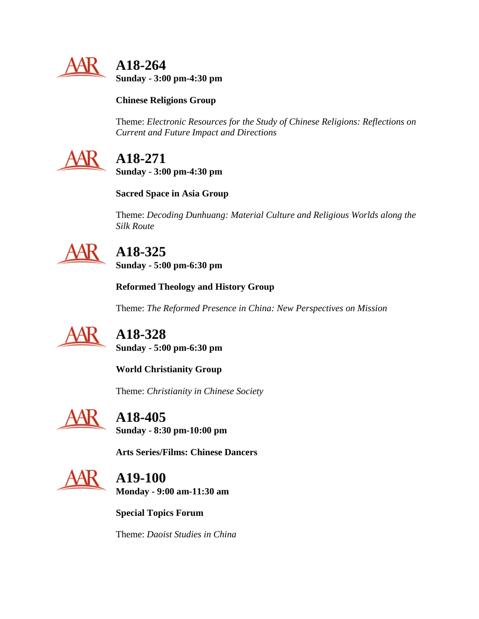

 **A18-264 Sunday - 3:00 pm-4:30 pm**

### **Chinese Religions Group**

Theme: *Electronic Resources for the Study of Chinese Religions: Reflections on Current and Future Impact and Directions*



# **A18-271**

**Sunday - 3:00 pm-4:30 pm**

### **Sacred Space in Asia Group**

Theme: *Decoding Dunhuang: Material Culture and Religious Worlds along the Silk Route*



# **A18-325**

**Sunday - 5:00 pm-6:30 pm**

**Reformed Theology and History Group**

Theme: *The Reformed Presence in China: New Perspectives on Mission*



# **A18-328**

**Sunday - 5:00 pm-6:30 pm**

**World Christianity Group**

Theme: *Christianity in Chinese Society*



**A18-405**

**Sunday - 8:30 pm-10:00 pm**

**Arts Series/Films: Chinese Dancers**



 **A19-100 Monday - 9:00 am-11:30 am**

**Special Topics Forum**

Theme: *Daoist Studies in China*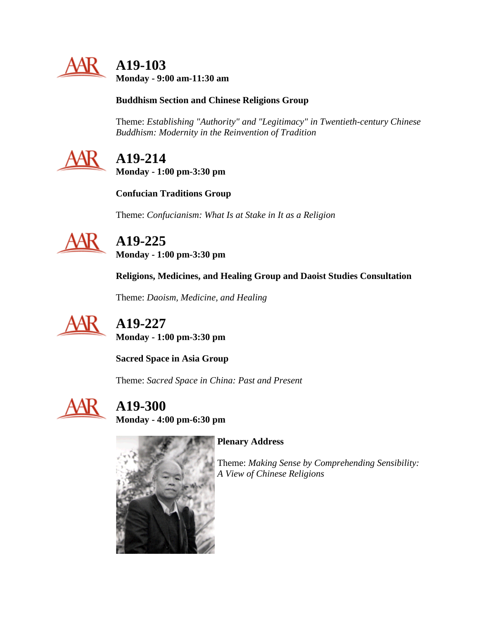

 **A19-103 Monday - 9:00 am-11:30 am**

### **Buddhism Section and Chinese Religions Group**

Theme: *Establishing "Authority" and "Legitimacy" in Twentieth-century Chinese Buddhism: Modernity in the Reinvention of Tradition*



# **A19-214**

**Monday - 1:00 pm-3:30 pm**

**Confucian Traditions Group**

Theme: *Confucianism: What Is at Stake in It as a Religion*



# **A19-225**

**Monday - 1:00 pm-3:30 pm**

**Religions, Medicines, and Healing Group and Daoist Studies Consultation**

Theme: *Daoism, Medicine, and Healing*



 **A19-227 Monday - 1:00 pm-3:30 pm**

**Sacred Space in Asia Group**

Theme: *Sacred Space in China: Past and Present*



 **A19-300 Monday - 4:00 pm-6:30 pm**



**Plenary Address**

Theme: *Making Sense by Comprehending Sensibility: A View of Chinese Religions*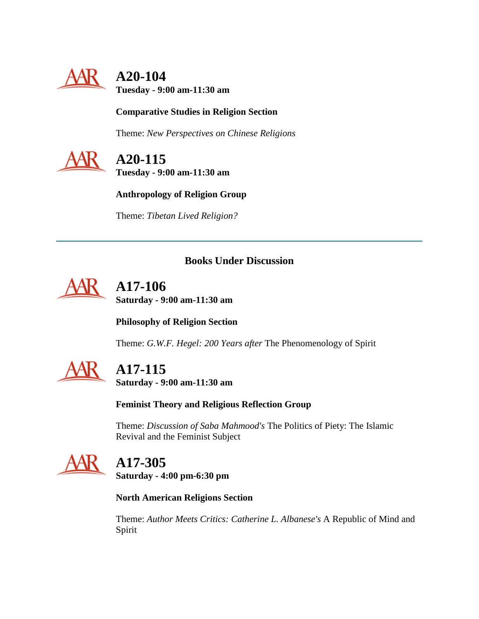

# **A20-104**

**Tuesday - 9:00 am-11:30 am**

### **Comparative Studies in Religion Section**

Theme: *New Perspectives on Chinese Religions*



**A20-115**

**Tuesday - 9:00 am-11:30 am**

**Anthropology of Religion Group**

Theme: *Tibetan Lived Religion?*

### **Books Under Discussion**

<span id="page-36-0"></span>

 **A17-106 Saturday - 9:00 am-11:30 am**

**Philosophy of Religion Section**

Theme: *G.W.F. Hegel: 200 Years after* The Phenomenology of Spirit



# **A17-115**

**Saturday - 9:00 am-11:30 am**

**Feminist Theory and Religious Reflection Group**

Theme: *Discussion of Saba Mahmood's* The Politics of Piety: The Islamic Revival and the Feminist Subject



# **A17-305**

**Saturday - 4:00 pm-6:30 pm**

**North American Religions Section**

Theme: *Author Meets Critics: Catherine L. Albanese's* A Republic of Mind and Spirit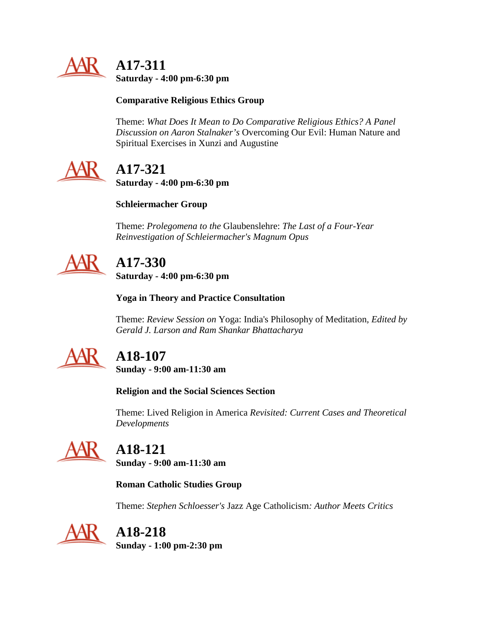

 **A17-311 Saturday - 4:00 pm-6:30 pm**

### **Comparative Religious Ethics Group**

Theme: *What Does It Mean to Do Comparative Religious Ethics? A Panel Discussion on Aaron Stalnaker's* Overcoming Our Evil: Human Nature and Spiritual Exercises in Xunzi and Augustine



# **A17-321**

**Saturday - 4:00 pm-6:30 pm**

### **Schleiermacher Group**

Theme: *Prolegomena to the* Glaubenslehre: *The Last of a Four-Year Reinvestigation of Schleiermacher's Magnum Opus*



# **A17-330**

**Saturday - 4:00 pm-6:30 pm**

**Yoga in Theory and Practice Consultation**

Theme: *Review Session on* Yoga: India's Philosophy of Meditation*, Edited by Gerald J. Larson and Ram Shankar Bhattacharya*



# **A18-107**

**Sunday - 9:00 am-11:30 am**

**Religion and the Social Sciences Section**

Theme: Lived Religion in America *Revisited: Current Cases and Theoretical Developments*



# **A18-121**

**Sunday - 9:00 am-11:30 am**

**Roman Catholic Studies Group**

Theme: *Stephen Schloesser's* Jazz Age Catholicism*: Author Meets Critics*



# **A18-218**

**Sunday - 1:00 pm-2:30 pm**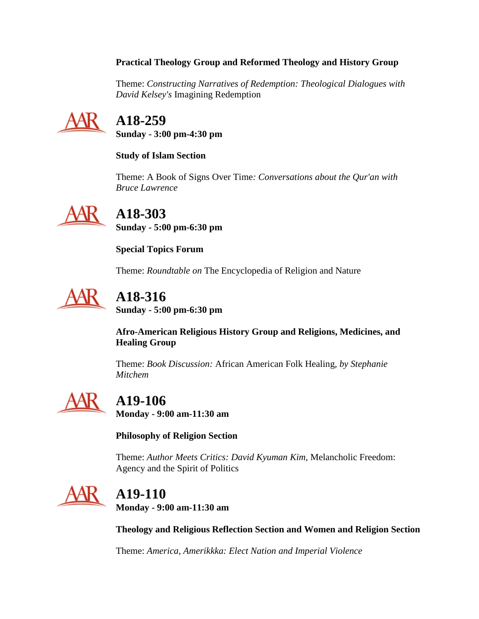### **Practical Theology Group and Reformed Theology and History Group**

Theme: *Constructing Narratives of Redemption: Theological Dialogues with David Kelsey's* Imagining Redemption



# **A18-259**

**Sunday - 3:00 pm-4:30 pm**

### **Study of Islam Section**

Theme: A Book of Signs Over Time*: Conversations about the Qur'an with Bruce Lawrence*



**A18-303**

**Sunday - 5:00 pm-6:30 pm**

**Special Topics Forum**

Theme: *Roundtable on* The Encyclopedia of Religion and Nature



# **A18-316**

**Sunday - 5:00 pm-6:30 pm**

**Afro-American Religious History Group and Religions, Medicines, and Healing Group**

Theme: *Book Discussion:* African American Folk Healing*, by Stephanie Mitchem*



# **A19-106**

**Monday - 9:00 am-11:30 am**

### **Philosophy of Religion Section**

Theme: *Author Meets Critics: David Kyuman Kim,* Melancholic Freedom: Agency and the Spirit of Politics



# **A19-110**

**Monday - 9:00 am-11:30 am**

**Theology and Religious Reflection Section and Women and Religion Section**

Theme: *America, Amerikkka: Elect Nation and Imperial Violence*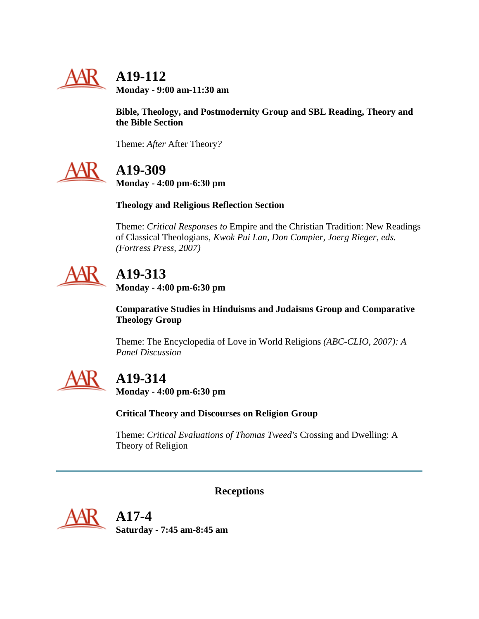

# **A19-112**

**Monday - 9:00 am-11:30 am**

**Bible, Theology, and Postmodernity Group and SBL Reading, Theory and the Bible Section**

Theme: *After* After Theory*?*



# **A19-309**

**Monday - 4:00 pm-6:30 pm**

### **Theology and Religious Reflection Section**

Theme: *Critical Responses to* Empire and the Christian Tradition: New Readings of Classical Theologians*, Kwok Pui Lan, Don Compier, Joerg Rieger, eds. (Fortress Press, 2007)*



# **A19-313**

**Monday - 4:00 pm-6:30 pm**

**Comparative Studies in Hinduisms and Judaisms Group and Comparative Theology Group**

Theme: The Encyclopedia of Love in World Religions *(ABC-CLIO, 2007): A Panel Discussion*



# **A19-314**

**Monday - 4:00 pm-6:30 pm**

**Critical Theory and Discourses on Religion Group**

Theme: *Critical Evaluations of Thomas Tweed's* Crossing and Dwelling: A Theory of Religion

**Receptions**

<span id="page-39-0"></span>

 **A17-4 Saturday - 7:45 am-8:45 am**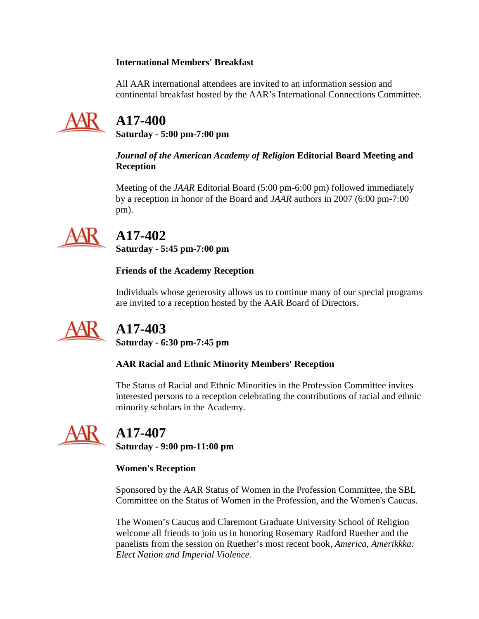### **International Members' Breakfast**

All AAR international attendees are invited to an information session and continental breakfast hosted by the AAR's International Connections Committee.



# **A17-400**

**Saturday - 5:00 pm-7:00 pm**

*Journal of the American Academy of Religion* **Editorial Board Meeting and Reception**

Meeting of the *JAAR* Editorial Board (5:00 pm-6:00 pm) followed immediately by a reception in honor of the Board and *JAAR* authors in 2007 (6:00 pm-7:00 pm).



# **A17-402**

**Saturday - 5:45 pm-7:00 pm**

### **Friends of the Academy Reception**

Individuals whose generosity allows us to continue many of our special programs are invited to a reception hosted by the AAR Board of Directors.



# **A17-403**

**Saturday - 6:30 pm-7:45 pm**

### **AAR Racial and Ethnic Minority Members' Reception**

The Status of Racial and Ethnic Minorities in the Profession Committee invites interested persons to a reception celebrating the contributions of racial and ethnic minority scholars in the Academy.



# **A17-407**

**Saturday - 9:00 pm-11:00 pm**

### **Women's Reception**

Sponsored by the AAR Status of Women in the Profession Committee, the SBL Committee on the Status of Women in the Profession, and the Women's Caucus.

The Women's Caucus and Claremont Graduate University School of Religion welcome all friends to join us in honoring Rosemary Radford Ruether and the panelists from the session on Ruether's most recent book, *America, Amerikkka: Elect Nation and Imperial Violence.*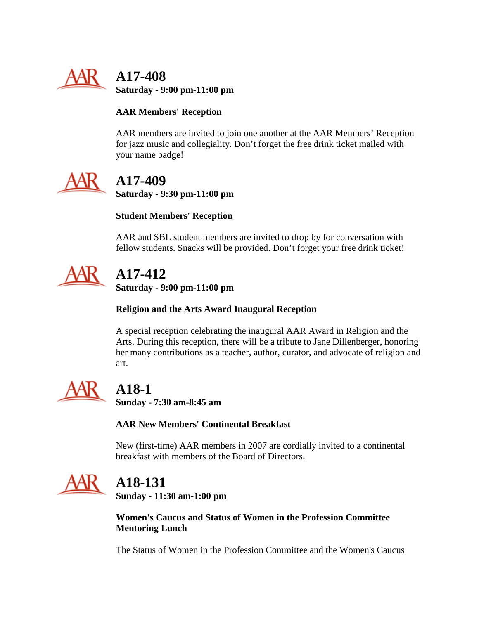

 **A17-408 Saturday - 9:00 pm-11:00 pm**

### **AAR Members' Reception**

AAR members are invited to join one another at the AAR Members' Reception for jazz music and collegiality. Don't forget the free drink ticket mailed with your name badge!



# **A17-409**

**Saturday - 9:30 pm-11:00 pm**

### **Student Members' Reception**

AAR and SBL student members are invited to drop by for conversation with fellow students. Snacks will be provided. Don't forget your free drink ticket!



# **A17-412**

**Saturday - 9:00 pm-11:00 pm**

### **Religion and the Arts Award Inaugural Reception**

A special reception celebrating the inaugural AAR Award in Religion and the Arts. During this reception, there will be a tribute to Jane Dillenberger, honoring her many contributions as a teacher, author, curator, and advocate of religion and art.



# **A18-1**

**Sunday - 7:30 am-8:45 am**

**AAR New Members' Continental Breakfast**

New (first-time) AAR members in 2007 are cordially invited to a continental breakfast with members of the Board of Directors.



# **A18-131**

**Sunday - 11:30 am-1:00 pm**

**Women's Caucus and Status of Women in the Profession Committee Mentoring Lunch**

The Status of Women in the Profession Committee and the Women's Caucus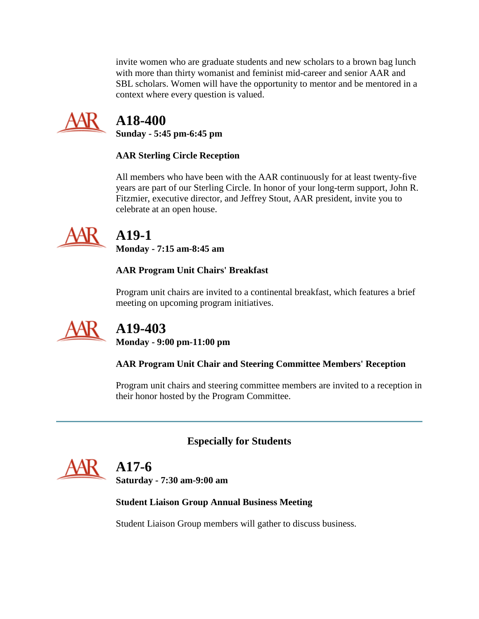invite women who are graduate students and new scholars to a brown bag lunch with more than thirty womanist and feminist mid-career and senior AAR and SBL scholars. Women will have the opportunity to mentor and be mentored in a context where every question is valued.



# **A18-400**

**Sunday - 5:45 pm-6:45 pm**

### **AAR Sterling Circle Reception**

All members who have been with the AAR continuously for at least twenty-five years are part of our Sterling Circle. In honor of your long-term support, John R. Fitzmier, executive director, and Jeffrey Stout, AAR president, invite you to celebrate at an open house.



# **A19-1**

**Monday - 7:15 am-8:45 am**

### **AAR Program Unit Chairs' Breakfast**

Program unit chairs are invited to a continental breakfast, which features a brief meeting on upcoming program initiatives.



# **A19-403**

**Monday - 9:00 pm-11:00 pm**

### **AAR Program Unit Chair and Steering Committee Members' Reception**

Program unit chairs and steering committee members are invited to a reception in their honor hosted by the Program Committee.

## **Especially for Students**

# **A17-6**

**Saturday - 7:30 am-9:00 am**

### **Student Liaison Group Annual Business Meeting**

Student Liaison Group members will gather to discuss business.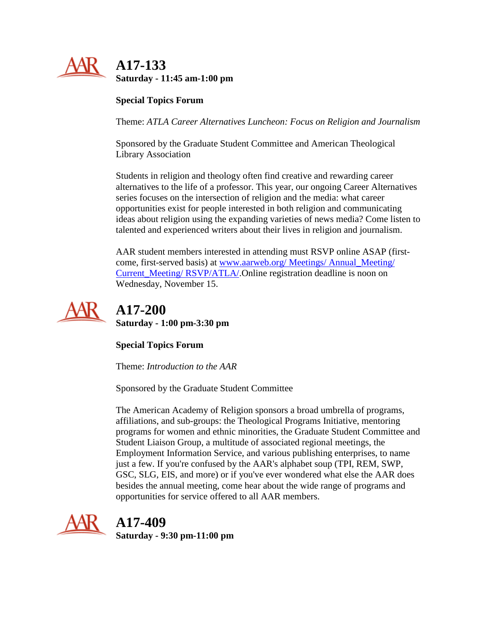

### **Special Topics Forum**

Theme: *ATLA Career Alternatives Luncheon: Focus on Religion and Journalism*

Sponsored by the Graduate Student Committee and American Theological Library Association

Students in religion and theology often find creative and rewarding career alternatives to the life of a professor. This year, our ongoing Career Alternatives series focuses on the intersection of religion and the media: what career opportunities exist for people interested in both religion and communicating ideas about religion using the expanding varieties of news media? Come listen to talented and experienced writers about their lives in religion and journalism.

AAR student members interested in attending must RSVP online ASAP (firstcome, first-served basis) at [www.aarweb.org/ Meetings/ Annual\\_Meeting/](http://www.aarweb.org/Meetings/Annual_Meeting/Current_Meeting/RSVP/ATLA/)  [Current\\_Meeting/ RSVP/ATLA/.](http://www.aarweb.org/Meetings/Annual_Meeting/Current_Meeting/RSVP/ATLA/)Online registration deadline is noon on Wednesday, November 15.



 **A17-200 Saturday - 1:00 pm-3:30 pm**

**Special Topics Forum**

Theme: *Introduction to the AAR*

Sponsored by the Graduate Student Committee

The American Academy of Religion sponsors a broad umbrella of programs, affiliations, and sub-groups: the Theological Programs Initiative, mentoring programs for women and ethnic minorities, the Graduate Student Committee and Student Liaison Group, a multitude of associated regional meetings, the Employment Information Service, and various publishing enterprises, to name just a few. If you're confused by the AAR's alphabet soup (TPI, REM, SWP, GSC, SLG, EIS, and more) or if you've ever wondered what else the AAR does besides the annual meeting, come hear about the wide range of programs and opportunities for service offered to all AAR members.



# **A17-409**

**Saturday - 9:30 pm-11:00 pm**